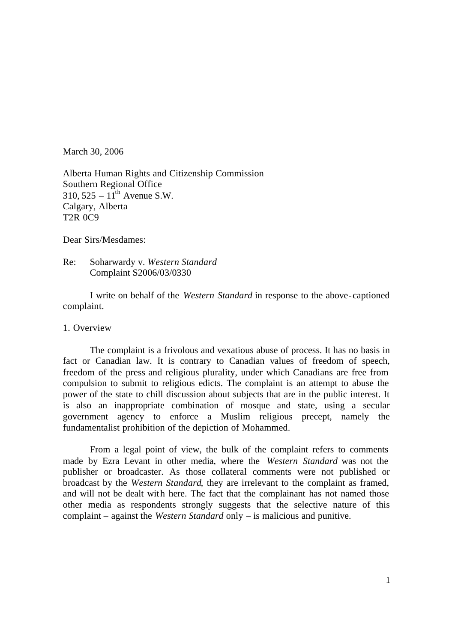March 30, 2006

Alberta Human Rights and Citizenship Commission Southern Regional Office  $310, 525 - 11$ <sup>th</sup> Avenue S.W. Calgary, Alberta T2R 0C9

Dear Sirs/Mesdames:

Re: Soharwardy v. *Western Standard* Complaint S2006/03/0330

I write on behalf of the *Western Standard* in response to the above-captioned complaint.

1. Overview

The complaint is a frivolous and vexatious abuse of process. It has no basis in fact or Canadian law. It is contrary to Canadian values of freedom of speech, freedom of the press and religious plurality, under which Canadians are free from compulsion to submit to religious edicts. The complaint is an attempt to abuse the power of the state to chill discussion about subjects that are in the public interest. It is also an inappropriate combination of mosque and state, using a secular government agency to enforce a Muslim religious precept, namely the fundamentalist prohibition of the depiction of Mohammed.

From a legal point of view, the bulk of the complaint refers to comments made by Ezra Levant in other media, where the *Western Standard* was not the publisher or broadcaster. As those collateral comments were not published or broadcast by the *Western Standard*, they are irrelevant to the complaint as framed, and will not be dealt with here. The fact that the complainant has not named those other media as respondents strongly suggests that the selective nature of this complaint – against the *Western Standard* only – is malicious and punitive.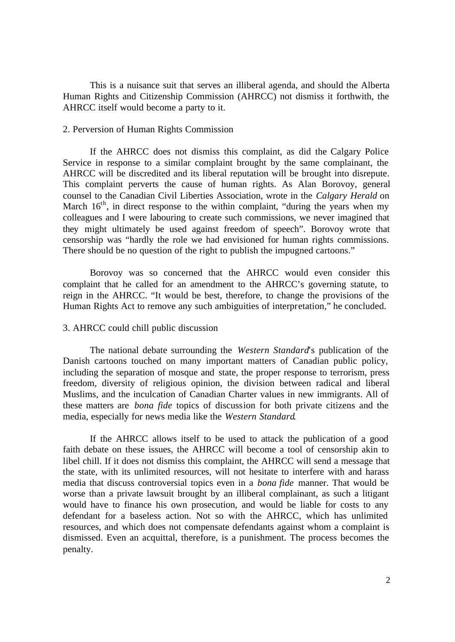This is a nuisance suit that serves an illiberal agenda, and should the Alberta Human Rights and Citizenship Commission (AHRCC) not dismiss it forthwith, the AHRCC itself would become a party to it.

# 2. Perversion of Human Rights Commission

If the AHRCC does not dismiss this complaint, as did the Calgary Police Service in response to a similar complaint brought by the same complainant, the AHRCC will be discredited and its liberal reputation will be brought into disrepute. This complaint perverts the cause of human rights. As Alan Borovoy, general counsel to the Canadian Civil Liberties Association, wrote in the *Calgary Herald* on March  $16<sup>th</sup>$ , in direct response to the within complaint, "during the years when my colleagues and I were labouring to create such commissions, we never imagined that they might ultimately be used against freedom of speech". Borovoy wrote that censorship was "hardly the role we had envisioned for human rights commissions. There should be no question of the right to publish the impugned cartoons."

Borovoy was so concerned that the AHRCC would even consider this complaint that he called for an amendment to the AHRCC's governing statute, to reign in the AHRCC. "It would be best, therefore, to change the provisions of the Human Rights Act to remove any such ambiguities of interpretation," he concluded.

## 3. AHRCC could chill public discussion

The national debate surrounding the *Western Standard*'s publication of the Danish cartoons touched on many important matters of Canadian public policy, including the separation of mosque and state, the proper response to terrorism, press freedom, diversity of religious opinion, the division between radical and liberal Muslims, and the inculcation of Canadian Charter values in new immigrants. All of these matters are *bona fide* topics of discussion for both private citizens and the media, especially for news media like the *Western Standard*.

If the AHRCC allows itself to be used to attack the publication of a good faith debate on these issues, the AHRCC will become a tool of censorship akin to libel chill. If it does not dismiss this complaint, the AHRCC will send a message that the state, with its unlimited resources, will not hesitate to interfere with and harass media that discuss controversial topics even in a *bona fide* manner. That would be worse than a private lawsuit brought by an illiberal complainant, as such a litigant would have to finance his own prosecution, and would be liable for costs to any defendant for a baseless action. Not so with the AHRCC, which has unlimited resources, and which does not compensate defendants against whom a complaint is dismissed. Even an acquittal, therefore, is a punishment. The process becomes the penalty.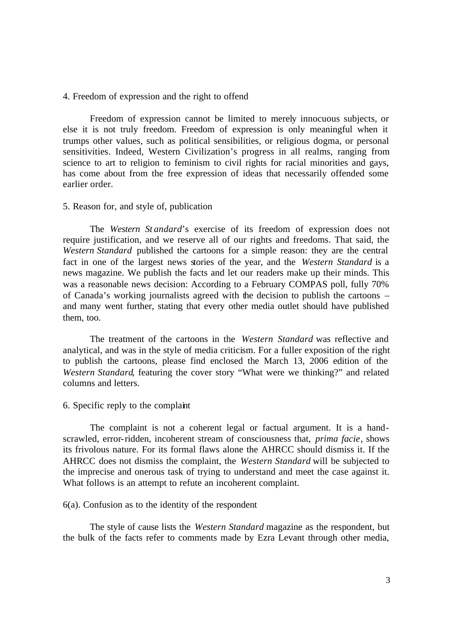### 4. Freedom of expression and the right to offend

Freedom of expression cannot be limited to merely innocuous subjects, or else it is not truly freedom. Freedom of expression is only meaningful when it trumps other values, such as political sensibilities, or religious dogma, or personal sensitivities. Indeed, Western Civilization's progress in all realms, ranging from science to art to religion to feminism to civil rights for racial minorities and gays, has come about from the free expression of ideas that necessarily offended some earlier order.

#### 5. Reason for, and style of, publication

The *Western St andard*'s exercise of its freedom of expression does not require justification, and we reserve all of our rights and freedoms. That said, the *Western Standard* published the cartoons for a simple reason: they are the central fact in one of the largest news stories of the year, and the *Western Standard* is a news magazine. We publish the facts and let our readers make up their minds. This was a reasonable news decision: According to a February COMPAS poll, fully 70% of Canada's working journalists agreed with the decision to publish the cartoons – and many went further, stating that every other media outlet should have published them, too.

The treatment of the cartoons in the *Western Standard* was reflective and analytical, and was in the style of media criticism. For a fuller exposition of the right to publish the cartoons, please find enclosed the March 13, 2006 edition of the *Western Standard*, featuring the cover story "What were we thinking?" and related columns and letters.

## 6. Specific reply to the complaint

The complaint is not a coherent legal or factual argument. It is a handscrawled, error-ridden, incoherent stream of consciousness that, *prima facie*, shows its frivolous nature. For its formal flaws alone the AHRCC should dismiss it. If the AHRCC does not dismiss the complaint, the *Western Standard* will be subjected to the imprecise and onerous task of trying to understand and meet the case against it. What follows is an attempt to refute an incoherent complaint.

### 6(a). Confusion as to the identity of the respondent

The style of cause lists the *Western Standard* magazine as the respondent, but the bulk of the facts refer to comments made by Ezra Levant through other media,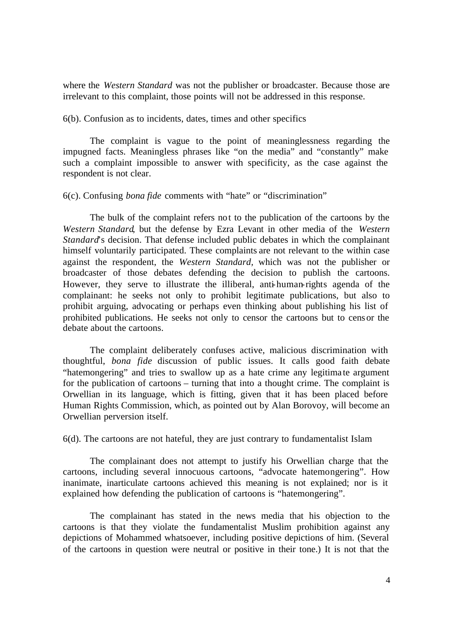where the *Western Standard* was not the publisher or broadcaster. Because those are irrelevant to this complaint, those points will not be addressed in this response.

6(b). Confusion as to incidents, dates, times and other specifics

The complaint is vague to the point of meaninglessness regarding the impugned facts. Meaningless phrases like "on the media" and "constantly" make such a complaint impossible to answer with specificity, as the case against the respondent is not clear.

6(c). Confusing *bona fide* comments with "hate" or "discrimination"

The bulk of the complaint refers not to the publication of the cartoons by the *Western Standard*, but the defense by Ezra Levant in other media of the *Western Standard*'s decision. That defense included public debates in which the complainant himself voluntarily participated. These complaints are not relevant to the within case against the respondent, the *Western Standard,* which was not the publisher or broadcaster of those debates defending the decision to publish the cartoons. However, they serve to illustrate the illiberal, anti-human-rights agenda of the complainant: he seeks not only to prohibit legitimate publications, but also to prohibit arguing, advocating or perhaps even thinking about publishing his list of prohibited publications. He seeks not only to censor the cartoons but to censor the debate about the cartoons.

The complaint deliberately confuses active, malicious discrimination with thoughtful, *bona fide* discussion of public issues. It calls good faith debate "hatemongering" and tries to swallow up as a hate crime any legitima te argument for the publication of cartoons – turning that into a thought crime. The complaint is Orwellian in its language, which is fitting, given that it has been placed before Human Rights Commission, which, as pointed out by Alan Borovoy, will become an Orwellian perversion itself.

6(d). The cartoons are not hateful, they are just contrary to fundamentalist Islam

The complainant does not attempt to justify his Orwellian charge that the cartoons, including several innocuous cartoons, "advocate hatemongering". How inanimate, inarticulate cartoons achieved this meaning is not explained; nor is it explained how defending the publication of cartoons is "hatemongering".

The complainant has stated in the news media that his objection to the cartoons is that they violate the fundamentalist Muslim prohibition against any depictions of Mohammed whatsoever, including positive depictions of him. (Several of the cartoons in question were neutral or positive in their tone.) It is not that the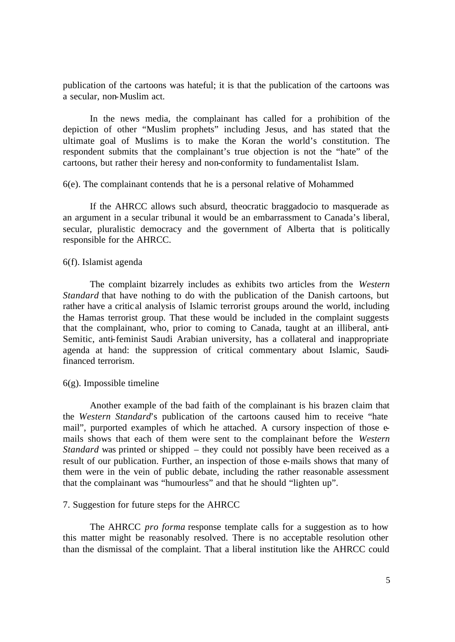publication of the cartoons was hateful; it is that the publication of the cartoons was a secular, non-Muslim act.

In the news media, the complainant has called for a prohibition of the depiction of other "Muslim prophets" including Jesus, and has stated that the ultimate goal of Muslims is to make the Koran the world's constitution. The respondent submits that the complainant's true objection is not the "hate" of the cartoons, but rather their heresy and non-conformity to fundamentalist Islam.

6(e). The complainant contends that he is a personal relative of Mohammed

If the AHRCC allows such absurd, theocratic braggadocio to masquerade as an argument in a secular tribunal it would be an embarrassment to Canada's liberal, secular, pluralistic democracy and the government of Alberta that is politically responsible for the AHRCC.

#### 6(f). Islamist agenda

The complaint bizarrely includes as exhibits two articles from the *Western Standard* that have nothing to do with the publication of the Danish cartoons, but rather have a critic al analysis of Islamic terrorist groups around the world, including the Hamas terrorist group. That these would be included in the complaint suggests that the complainant, who, prior to coming to Canada, taught at an illiberal, anti-Semitic, anti-feminist Saudi Arabian university, has a collateral and inappropriate agenda at hand: the suppression of critical commentary about Islamic, Saudifinanced terrorism.

## $6(g)$ . Impossible timeline

Another example of the bad faith of the complainant is his brazen claim that the *Western Standard*'s publication of the cartoons caused him to receive "hate mail", purported examples of which he attached. A cursory inspection of those emails shows that each of them were sent to the complainant before the *Western Standard* was printed or shipped – they could not possibly have been received as a result of our publication. Further, an inspection of those e-mails shows that many of them were in the vein of public debate, including the rather reasonable assessment that the complainant was "humourless" and that he should "lighten up".

## 7. Suggestion for future steps for the AHRCC

The AHRCC *pro forma* response template calls for a suggestion as to how this matter might be reasonably resolved. There is no acceptable resolution other than the dismissal of the complaint. That a liberal institution like the AHRCC could